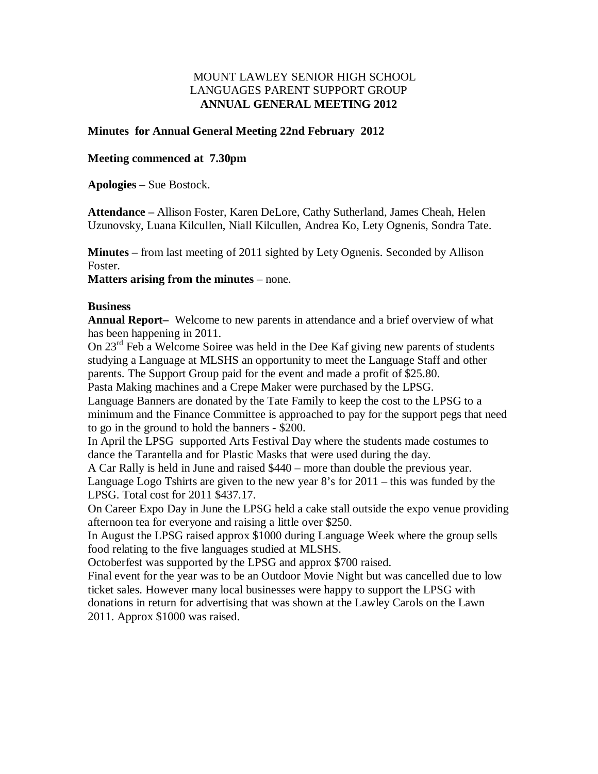### MOUNT LAWLEY SENIOR HIGH SCHOOL LANGUAGES PARENT SUPPORT GROUP **ANNUAL GENERAL MEETING 2012**

### **Minutes for Annual General Meeting 22nd February 2012**

### **Meeting commenced at 7.30pm**

**Apologies** – Sue Bostock.

**Attendance –** Allison Foster, Karen DeLore, Cathy Sutherland, James Cheah, Helen Uzunovsky, Luana Kilcullen, Niall Kilcullen, Andrea Ko, Lety Ognenis, Sondra Tate.

**Minutes –** from last meeting of 2011 sighted by Lety Ognenis. Seconded by Allison Foster.

**Matters arising from the minutes** – none.

#### **Business**

**Annual Report–** Welcome to new parents in attendance and a brief overview of what has been happening in 2011.

On 23<sup>rd</sup> Feb a Welcome Soiree was held in the Dee Kaf giving new parents of students studying a Language at MLSHS an opportunity to meet the Language Staff and other parents. The Support Group paid for the event and made a profit of \$25.80.

Pasta Making machines and a Crepe Maker were purchased by the LPSG.

Language Banners are donated by the Tate Family to keep the cost to the LPSG to a minimum and the Finance Committee is approached to pay for the support pegs that need to go in the ground to hold the banners - \$200.

In April the LPSG supported Arts Festival Day where the students made costumes to dance the Tarantella and for Plastic Masks that were used during the day.

A Car Rally is held in June and raised \$440 – more than double the previous year. Language Logo Tshirts are given to the new year 8's for 2011 – this was funded by the LPSG. Total cost for 2011 \$437.17.

On Career Expo Day in June the LPSG held a cake stall outside the expo venue providing afternoon tea for everyone and raising a little over \$250.

In August the LPSG raised approx \$1000 during Language Week where the group sells food relating to the five languages studied at MLSHS.

Octoberfest was supported by the LPSG and approx \$700 raised.

Final event for the year was to be an Outdoor Movie Night but was cancelled due to low ticket sales. However many local businesses were happy to support the LPSG with donations in return for advertising that was shown at the Lawley Carols on the Lawn 2011. Approx \$1000 was raised.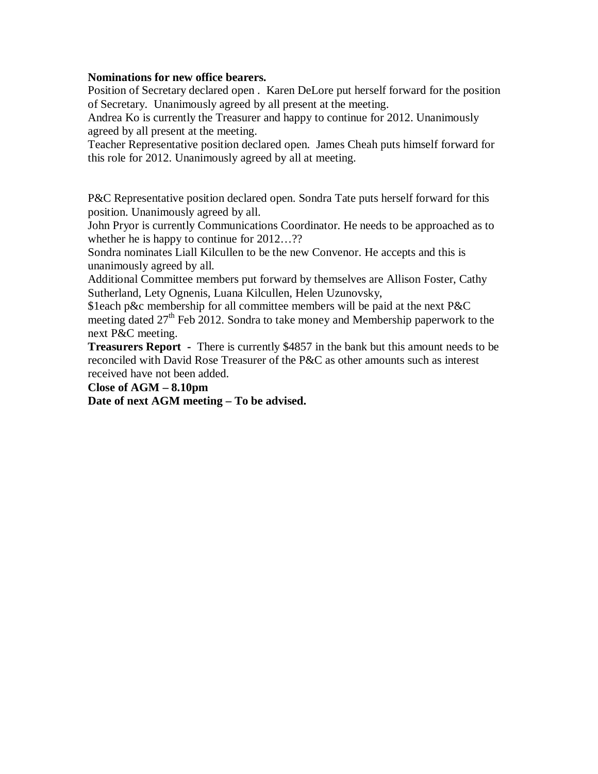#### **Nominations for new office bearers.**

Position of Secretary declared open . Karen DeLore put herself forward for the position of Secretary. Unanimously agreed by all present at the meeting.

Andrea Ko is currently the Treasurer and happy to continue for 2012. Unanimously agreed by all present at the meeting.

Teacher Representative position declared open. James Cheah puts himself forward for this role for 2012. Unanimously agreed by all at meeting.

P&C Representative position declared open. Sondra Tate puts herself forward for this position. Unanimously agreed by all.

John Pryor is currently Communications Coordinator. He needs to be approached as to whether he is happy to continue for  $2012...$ ??

Sondra nominates Liall Kilcullen to be the new Convenor. He accepts and this is unanimously agreed by all.

Additional Committee members put forward by themselves are Allison Foster, Cathy Sutherland, Lety Ognenis, Luana Kilcullen, Helen Uzunovsky,

\$1each p&c membership for all committee members will be paid at the next P&C meeting dated  $27<sup>th</sup>$  Feb 2012. Sondra to take money and Membership paperwork to the next P&C meeting.

**Treasurers Report** - There is currently \$4857 in the bank but this amount needs to be reconciled with David Rose Treasurer of the P&C as other amounts such as interest received have not been added.

#### **Close of AGM – 8.10pm**

**Date of next AGM meeting – To be advised.**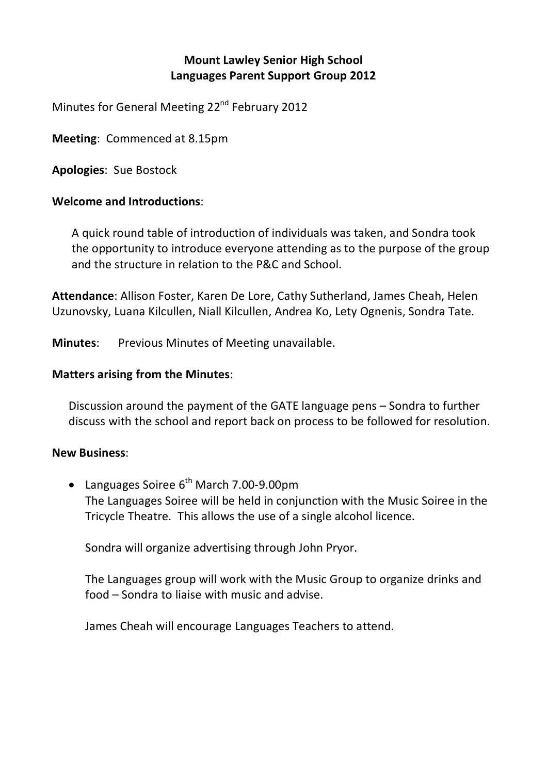# **Mount Lawley Senior High School Languages Parent Support Group 2012**

Minutes for General Meeting 22<sup>nd</sup> February 2012

**Meeting**: Commenced at 8.15pm

**Apologies**: Sue Bostock

## **Welcome and Introductions**:

A quick round table of introduction of individuals was taken, and Sondra took the opportunity to introduce everyone attending as to the purpose of the group and the structure in relation to the P&C and School.

**Attendance**: Allison Foster, Karen De Lore, Cathy Sutherland, James Cheah, Helen Uzunovsky, Luana Kilcullen, Niall Kilcullen, Andrea Ko, Lety Ognenis, Sondra Tate.

**Minutes**: Previous Minutes of Meeting unavailable.

## **Matters arising from the Minutes**:

Discussion around the payment of the GATE language pens – Sondra to further discuss with the school and report back on process to be followed for resolution.

## **New Business**:

• Languages Soiree  $6^{th}$  March 7.00-9.00pm The Languages Soiree will be held in conjunction with the Music Soiree in the Tricycle Theatre. This allows the use of a single alcohol licence.

Sondra will organize advertising through John Pryor.

The Languages group will work with the Music Group to organize drinks and food – Sondra to liaise with music and advise.

James Cheah will encourage Languages Teachers to attend.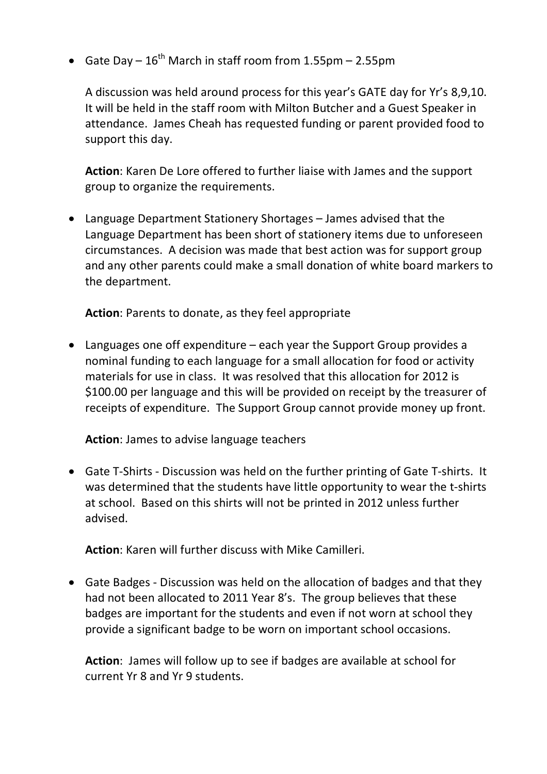• Gate Day –  $16^{th}$  March in staff room from 1.55pm – 2.55pm

A discussion was held around process for this year's GATE day for Yr's 8,9,10. It will be held in the staff room with Milton Butcher and a Guest Speaker in attendance. James Cheah has requested funding or parent provided food to support this day.

**Action**: Karen De Lore offered to further liaise with James and the support group to organize the requirements.

• Language Department Stationery Shortages – James advised that the Language Department has been short of stationery items due to unforeseen circumstances. A decision was made that best action was for support group and any other parents could make a small donation of white board markers to the department.

**Action**: Parents to donate, as they feel appropriate

• Languages one off expenditure – each year the Support Group provides a nominal funding to each language for a small allocation for food or activity materials for use in class. It was resolved that this allocation for 2012 is \$100.00 per language and this will be provided on receipt by the treasurer of receipts of expenditure. The Support Group cannot provide money up front.

**Action**: James to advise language teachers

• Gate T‐Shirts ‐ Discussion was held on the further printing of Gate T‐shirts. It was determined that the students have little opportunity to wear the t‐shirts at school. Based on this shirts will not be printed in 2012 unless further advised.

**Action**: Karen will further discuss with Mike Camilleri.

• Gate Badges ‐ Discussion was held on the allocation of badges and that they had not been allocated to 2011 Year 8's. The group believes that these badges are important for the students and even if not worn at school they provide a significant badge to be worn on important school occasions.

**Action**: James will follow up to see if badges are available at school for current Yr 8 and Yr 9 students.